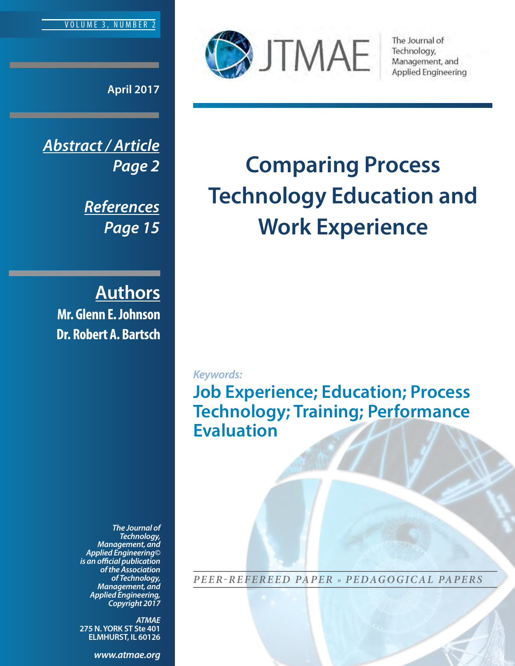

**April 2017**

*Abstract / Article Page 2*

> *References Page 15*

**Authors Mr. Glenn E. Johnson Dr. Robert A. Bartsch**

> *The Journal of Technology, Management, and Applied Engineering© is an official publication of the Association of Technology, Management, and Applied Engineering, Copyright 2017*

> *ATMAE* **275 N. YORK ST Ste 401 ELMHURST, IL 60126**

> > *<www.atmae.org>*



The Journal of Technology, Management, and **Applied Engineering** 

# **Comparing Process Technology Education and Work Experience**

*Keywords:*

**Job Experience; Education; Process Technology; Training; Performance Evaluation** 

*PEER-REFEREED PAPER <sup>n</sup> PEDAGOGICAL PAPERS*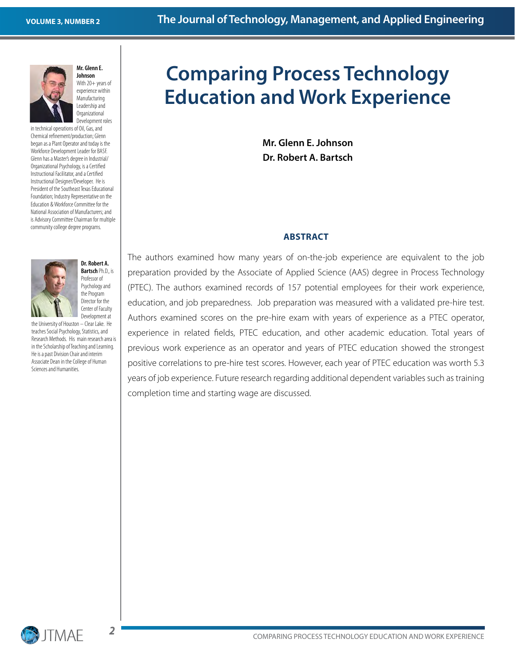

**Mr. Glenn E. Johnson** 

With 20+ years of experience within Manufacturing Leadership and Organizational

Development roles in technical operations of Oil, Gas, and Chemical refinement/production; Glenn began as a Plant Operator and today is the Workforce Development Leader for BASF. Glenn has a Master's degree in Industrial/ Organizational Psychology, is a Certified Instructional Facilitator, and a Certified Instructional Designer/Developer. He is President of the Southeast Texas Educational Foundation; Industry Representative on the Education & Workforce Committee for the National Association of Manufacturers; and is Advisory Committee Chairman for multiple community college degree programs.



the Program Director for the Center of Faculty Development at the University of Houston – Clear Lake. He teaches Social Psychology, Statistics, and Research Methods. His main research area is in the Scholarship of Teaching and Learning.

He is a past Division Chair and interim Associate Dean in the College of Human Sciences and Humanities.

## **Comparing Process Technology Education and Work Experience**

**Mr. Glenn E. Johnson Dr. Robert A. Bartsch**

#### **ABSTRACT**

The authors examined how many years of on-the-job experience are equivalent to the job preparation provided by the Associate of Applied Science (AAS) degree in Process Technology (PTEC). The authors examined records of 157 potential employees for their work experience, education, and job preparedness. Job preparation was measured with a validated pre-hire test. Authors examined scores on the pre-hire exam with years of experience as a PTEC operator, experience in related fields, PTEC education, and other academic education. Total years of previous work experience as an operator and years of PTEC education showed the strongest positive correlations to pre-hire test scores. However, each year of PTEC education was worth 5.3 years of job experience. Future research regarding additional dependent variables such as training completion time and starting wage are discussed.

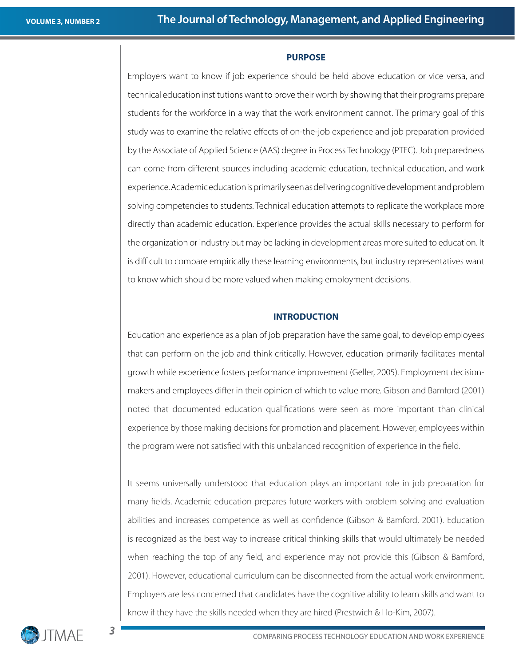#### **PURPOSE**

Employers want to know if job experience should be held above education or vice versa, and technical education institutions want to prove their worth by showing that their programs prepare students for the workforce in a way that the work environment cannot. The primary goal of this study was to examine the relative effects of on-the-job experience and job preparation provided by the Associate of Applied Science (AAS) degree in Process Technology (PTEC). Job preparedness can come from different sources including academic education, technical education, and work experience. Academic education is primarily seen as delivering cognitive development and problem solving competencies to students. Technical education attempts to replicate the workplace more directly than academic education. Experience provides the actual skills necessary to perform for the organization or industry but may be lacking in development areas more suited to education. It is difficult to compare empirically these learning environments, but industry representatives want to know which should be more valued when making employment decisions.

#### **INTRODUCTION**

Education and experience as a plan of job preparation have the same goal, to develop employees that can perform on the job and think critically. However, education primarily facilitates mental growth while experience fosters performance improvement (Geller, 2005). Employment decisionmakers and employees differ in their opinion of which to value more. Gibson and Bamford (2001) noted that documented education qualifications were seen as more important than clinical experience by those making decisions for promotion and placement. However, employees within the program were not satisfied with this unbalanced recognition of experience in the field.

It seems universally understood that education plays an important role in job preparation for many fields. Academic education prepares future workers with problem solving and evaluation abilities and increases competence as well as confidence (Gibson & Bamford, 2001). Education is recognized as the best way to increase critical thinking skills that would ultimately be needed when reaching the top of any field, and experience may not provide this (Gibson & Bamford, 2001). However, educational curriculum can be disconnected from the actual work environment. Employers are less concerned that candidates have the cognitive ability to learn skills and want to know if they have the skills needed when they are hired (Prestwich & Ho-Kim, 2007).



 $\overline{\phantom{a}}$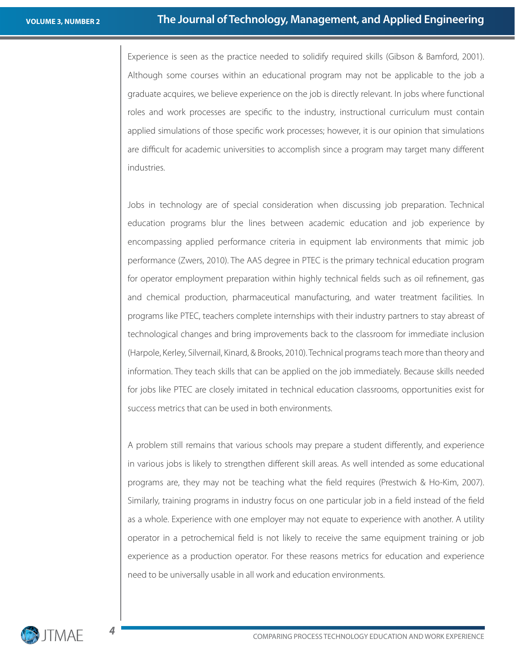Experience is seen as the practice needed to solidify required skills (Gibson & Bamford, 2001). Although some courses within an educational program may not be applicable to the job a graduate acquires, we believe experience on the job is directly relevant. In jobs where functional roles and work processes are specific to the industry, instructional curriculum must contain applied simulations of those specific work processes; however, it is our opinion that simulations are difficult for academic universities to accomplish since a program may target many different industries.

Jobs in technology are of special consideration when discussing job preparation. Technical education programs blur the lines between academic education and job experience by encompassing applied performance criteria in equipment lab environments that mimic job performance (Zwers, 2010). The AAS degree in PTEC is the primary technical education program for operator employment preparation within highly technical fields such as oil refinement, gas and chemical production, pharmaceutical manufacturing, and water treatment facilities. In programs like PTEC, teachers complete internships with their industry partners to stay abreast of technological changes and bring improvements back to the classroom for immediate inclusion (Harpole, Kerley, Silvernail, Kinard, & Brooks, 2010). Technical programs teach more than theory and information. They teach skills that can be applied on the job immediately. Because skills needed for jobs like PTEC are closely imitated in technical education classrooms, opportunities exist for success metrics that can be used in both environments.

A problem still remains that various schools may prepare a student differently, and experience in various jobs is likely to strengthen different skill areas. As well intended as some educational programs are, they may not be teaching what the field requires (Prestwich & Ho-Kim, 2007). Similarly, training programs in industry focus on one particular job in a field instead of the field as a whole. Experience with one employer may not equate to experience with another. A utility operator in a petrochemical field is not likely to receive the same equipment training or job experience as a production operator. For these reasons metrics for education and experience need to be universally usable in all work and education environments.



*4*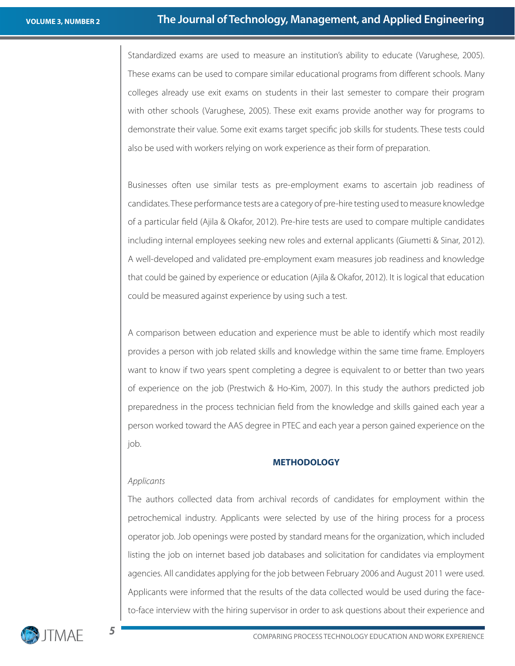Standardized exams are used to measure an institution's ability to educate (Varughese, 2005). These exams can be used to compare similar educational programs from different schools. Many colleges already use exit exams on students in their last semester to compare their program with other schools (Varughese, 2005). These exit exams provide another way for programs to demonstrate their value. Some exit exams target specific job skills for students. These tests could also be used with workers relying on work experience as their form of preparation.

Businesses often use similar tests as pre-employment exams to ascertain job readiness of candidates. These performance tests are a category of pre-hire testing used to measure knowledge of a particular field (Ajila & Okafor, 2012). Pre-hire tests are used to compare multiple candidates including internal employees seeking new roles and external applicants (Giumetti & Sinar, 2012). A well-developed and validated pre-employment exam measures job readiness and knowledge that could be gained by experience or education (Ajila & Okafor, 2012). It is logical that education could be measured against experience by using such a test.

A comparison between education and experience must be able to identify which most readily provides a person with job related skills and knowledge within the same time frame. Employers want to know if two years spent completing a degree is equivalent to or better than two years of experience on the job (Prestwich & Ho-Kim, 2007). In this study the authors predicted job preparedness in the process technician field from the knowledge and skills gained each year a person worked toward the AAS degree in PTEC and each year a person gained experience on the job.

#### **METHODOLOGY**

#### *Applicants*

The authors collected data from archival records of candidates for employment within the petrochemical industry. Applicants were selected by use of the hiring process for a process operator job. Job openings were posted by standard means for the organization, which included listing the job on internet based job databases and solicitation for candidates via employment agencies. All candidates applying for the job between February 2006 and August 2011 were used. Applicants were informed that the results of the data collected would be used during the faceto-face interview with the hiring supervisor in order to ask questions about their experience and

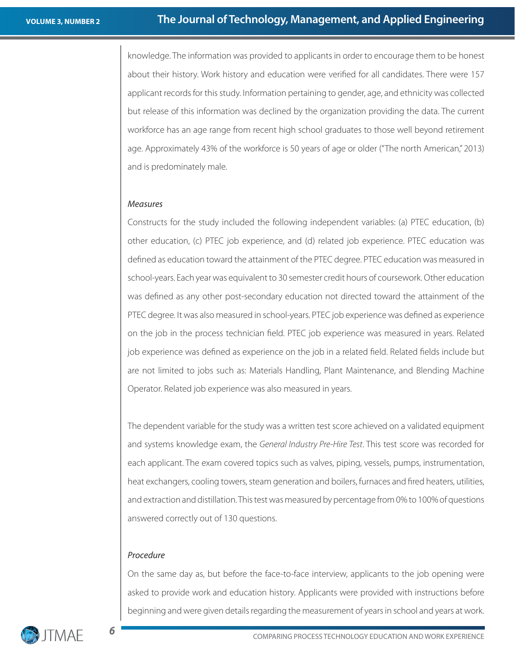knowledge. The information was provided to applicants in order to encourage them to be honest about their history. Work history and education were verified for all candidates. There were 157 applicant records for this study. Information pertaining to gender, age, and ethnicity was collected but release of this information was declined by the organization providing the data. The current workforce has an age range from recent high school graduates to those well beyond retirement age. Approximately 43% of the workforce is 50 years of age or older ("The north American," 2013) and is predominately male.

#### *Measures*

Constructs for the study included the following independent variables: (a) PTEC education, (b) other education, (c) PTEC job experience, and (d) related job experience. PTEC education was defined as education toward the attainment of the PTEC degree. PTEC education was measured in school-years. Each year was equivalent to 30 semester credit hours of coursework. Other education was defined as any other post-secondary education not directed toward the attainment of the PTEC degree. It was also measured in school-years. PTEC job experience was defined as experience on the job in the process technician field. PTEC job experience was measured in years. Related job experience was defined as experience on the job in a related field. Related fields include but are not limited to jobs such as: Materials Handling, Plant Maintenance, and Blending Machine Operator. Related job experience was also measured in years.

The dependent variable for the study was a written test score achieved on a validated equipment and systems knowledge exam, the *General Industry Pre-Hire Test*. This test score was recorded for each applicant. The exam covered topics such as valves, piping, vessels, pumps, instrumentation, heat exchangers, cooling towers, steam generation and boilers, furnaces and fired heaters, utilities, and extraction and distillation. This test was measured by percentage from 0% to 100% of questions answered correctly out of 130 questions.

#### *Procedure*

On the same day as, but before the face-to-face interview, applicants to the job opening were asked to provide work and education history. Applicants were provided with instructions before beginning and were given details regarding the measurement of years in school and years at work.

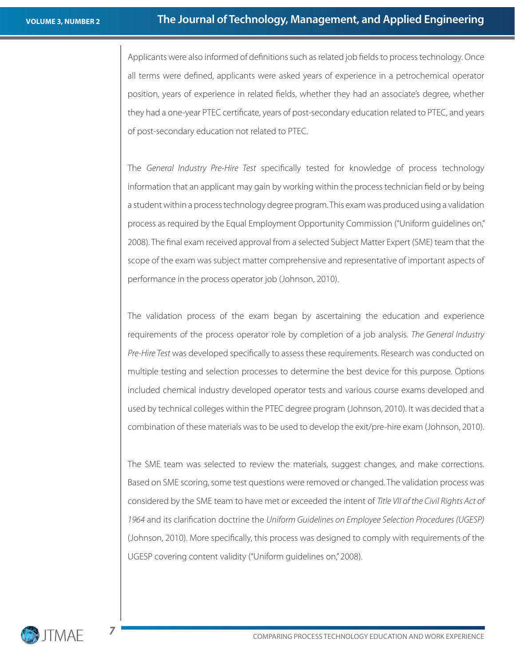Applicants were also informed of definitions such as related job fields to process technology. Once all terms were defined, applicants were asked years of experience in a petrochemical operator position, years of experience in related fields, whether they had an associate's degree, whether they had a one-year PTEC certificate, years of post-secondary education related to PTEC, and years of post-secondary education not related to PTEC.

The *General Industry Pre-Hire Test* specifically tested for knowledge of process technology information that an applicant may gain by working within the process technician field or by being a student within a process technology degree program. This exam was produced using a validation process as required by the Equal Employment Opportunity Commission ("Uniform guidelines on," 2008). The final exam received approval from a selected Subject Matter Expert (SME) team that the scope of the exam was subject matter comprehensive and representative of important aspects of performance in the process operator job (Johnson, 2010).

The validation process of the exam began by ascertaining the education and experience requirements of the process operator role by completion of a job analysis. *The General Industry Pre-Hire Test* was developed specifically to assess these requirements. Research was conducted on multiple testing and selection processes to determine the best device for this purpose. Options included chemical industry developed operator tests and various course exams developed and used by technical colleges within the PTEC degree program (Johnson, 2010). It was decided that a combination of these materials was to be used to develop the exit/pre-hire exam (Johnson, 2010).

The SME team was selected to review the materials, suggest changes, and make corrections. Based on SME scoring, some test questions were removed or changed. The validation process was considered by the SME team to have met or exceeded the intent of *Title VII of the Civil Rights Act of 1964* and its clarification doctrine the *Uniform Guidelines on Employee Selection Procedures (UGESP)*  (Johnson, 2010). More specifically, this process was designed to comply with requirements of the UGESP covering content validity ("Uniform guidelines on," 2008).



*7*

The Journal of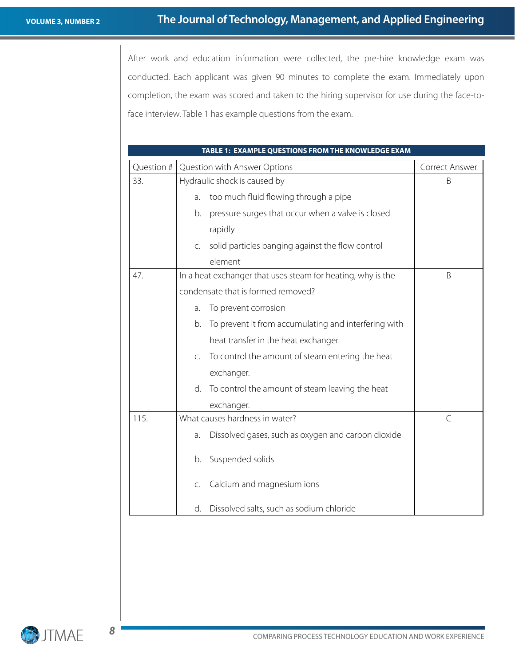After work and education information were collected, the pre-hire knowledge exam was conducted. Each applicant was given 90 minutes to complete the exam. Immediately upon completion, the exam was scored and taken to the hiring supervisor for use during the face-toface interview. Table 1 has example questions from the exam.

| TABLE 1: EXAMPLE QUESTIONS FROM THE KNOWLEDGE EXAM |                                                                    |                |  |  |  |
|----------------------------------------------------|--------------------------------------------------------------------|----------------|--|--|--|
| Question #                                         | Question with Answer Options                                       | Correct Answer |  |  |  |
| 33.                                                | Hydraulic shock is caused by                                       | B              |  |  |  |
|                                                    | too much fluid flowing through a pipe<br>a.                        |                |  |  |  |
|                                                    | pressure surges that occur when a valve is closed<br>b.            |                |  |  |  |
|                                                    | rapidly                                                            |                |  |  |  |
|                                                    | solid particles banging against the flow control<br>C.             |                |  |  |  |
|                                                    | element                                                            |                |  |  |  |
| 47.                                                | In a heat exchanger that uses steam for heating, why is the        | B              |  |  |  |
|                                                    | condensate that is formed removed?                                 |                |  |  |  |
|                                                    | To prevent corrosion<br>a.                                         |                |  |  |  |
|                                                    | To prevent it from accumulating and interfering with<br>b.         |                |  |  |  |
|                                                    | heat transfer in the heat exchanger.                               |                |  |  |  |
|                                                    | To control the amount of steam entering the heat<br>$\mathsf{C}$ . |                |  |  |  |
|                                                    | exchanger.                                                         |                |  |  |  |
|                                                    | d.<br>To control the amount of steam leaving the heat              |                |  |  |  |
|                                                    | exchanger.                                                         |                |  |  |  |
| 115.                                               | What causes hardness in water?                                     | $\mathcal{C}$  |  |  |  |
|                                                    | Dissolved gases, such as oxygen and carbon dioxide<br>a.           |                |  |  |  |
|                                                    | Suspended solids<br>b.                                             |                |  |  |  |
|                                                    | Calcium and magnesium ions<br>C.                                   |                |  |  |  |
|                                                    | Dissolved salts, such as sodium chloride<br>d.                     |                |  |  |  |

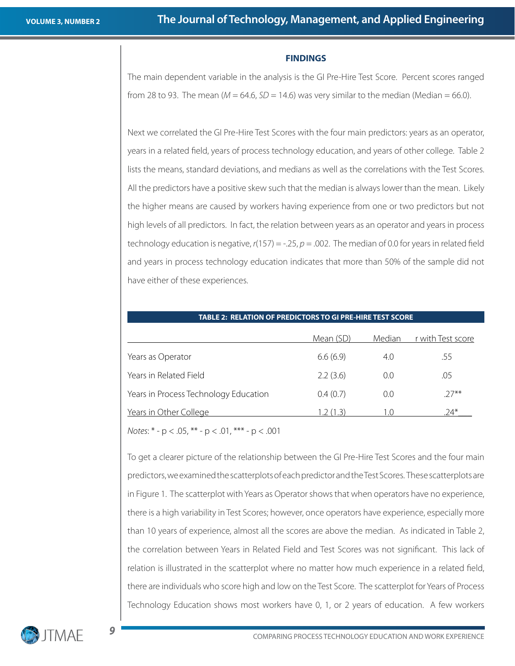#### **FINDINGS**

The main dependent variable in the analysis is the GI Pre-Hire Test Score. Percent scores ranged from 28 to 93. The mean ( $M = 64.6$ ,  $SD = 14.6$ ) was very similar to the median (Median = 66.0).

Next we correlated the GI Pre-Hire Test Scores with the four main predictors: years as an operator, years in a related field, years of process technology education, and years of other college. Table 2 lists the means, standard deviations, and medians as well as the correlations with the Test Scores. All the predictors have a positive skew such that the median is always lower than the mean. Likely the higher means are caused by workers having experience from one or two predictors but not high levels of all predictors. In fact, the relation between years as an operator and years in process technology education is negative, *r*(157) = -.25, *p* = .002. The median of 0.0 for years in related field and years in process technology education indicates that more than 50% of the sample did not have either of these experiences.

| <b>TABLE 2: RELATION OF PREDICTORS TO GI PRE-HIRE TEST SCORE</b> |           |        |                   |  |
|------------------------------------------------------------------|-----------|--------|-------------------|--|
|                                                                  | Mean (SD) | Median | r with Test score |  |
| Years as Operator                                                | 6.6(6.9)  | 4.0    | .55               |  |
| Years in Related Field                                           | 2.2(3.6)  | 0.0    | .05               |  |
| Years in Process Technology Education                            | 0.4(0.7)  | 0.0    | $27***$           |  |
| Years in Other College                                           | (1, 3)    | 1.0    | $74*$             |  |

*Notes*: \* - p < .05, \*\* - p < .01, \*\*\* - p < .001

To get a clearer picture of the relationship between the GI Pre-Hire Test Scores and the four main predictors, we examined the scatterplots of each predictor and the Test Scores. These scatterplots are in Figure 1. The scatterplot with Years as Operator shows that when operators have no experience, there is a high variability in Test Scores; however, once operators have experience, especially more than 10 years of experience, almost all the scores are above the median. As indicated in Table 2, the correlation between Years in Related Field and Test Scores was not significant. This lack of relation is illustrated in the scatterplot where no matter how much experience in a related field, there are individuals who score high and low on the Test Score. The scatterplot for Years of Process Technology Education shows most workers have 0, 1, or 2 years of education. A few workers

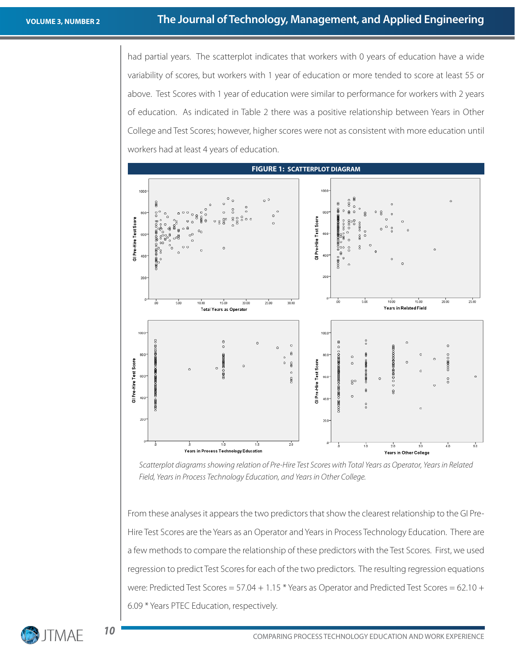had partial years. The scatterplot indicates that workers with 0 years of education have a wide variability of scores, but workers with 1 year of education or more tended to score at least 55 or above. Test Scores with 1 year of education were similar to performance for workers with 2 years of education. As indicated in Table 2 there was a positive relationship between Years in Other College and Test Scores; however, higher scores were not as consistent with more education until workers had at least 4 years of education.



*Scatterplot diagrams showing relation of Pre-Hire Test Scores with Total Years as Operator, Years in Related Field, Years in Process Technology Education, and Years in Other College.*

From these analyses it appears the two predictors that show the clearest relationship to the GI Pre-Hire Test Scores are the Years as an Operator and Years in Process Technology Education. There are a few methods to compare the relationship of these predictors with the Test Scores. First, we used regression to predict Test Scores for each of the two predictors. The resulting regression equations were: Predicted Test Scores = 57.04 + 1.15 \* Years as Operator and Predicted Test Scores = 62.10 + 6.09 \* Years PTEC Education, respectively.

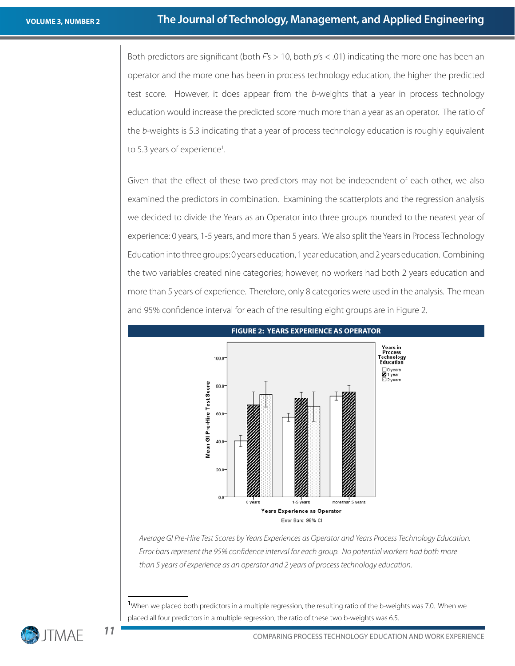Both predictors are significant (both *F*'s > 10, both *p*'s < .01) indicating the more one has been an operator and the more one has been in process technology education, the higher the predicted test score. However, it does appear from the *b*-weights that a year in process technology education would increase the predicted score much more than a year as an operator. The ratio of the *b*-weights is 5.3 indicating that a year of process technology education is roughly equivalent to 5.3 years of experience<sup>1</sup>.

Given that the effect of these two predictors may not be independent of each other, we also examined the predictors in combination. Examining the scatterplots and the regression analysis we decided to divide the Years as an Operator into three groups rounded to the nearest year of experience: 0 years, 1-5 years, and more than 5 years. We also split the Years in Process Technology Education into three groups: 0 years education, 1 year education, and 2 years education. Combining the two variables created nine categories; however, no workers had both 2 years education and more than 5 years of experience. Therefore, only 8 categories were used in the analysis. The mean and 95% confidence interval for each of the resulting eight groups are in Figure 2.



### *Average GI Pre-Hire Test Scores by Years Experiences as Operator and Years Process Technology Education. Error bars represent the 95% confidence interval for each group. No potential workers had both more than 5 years of experience as an operator and 2 years of process technology education.*

**1** When we placed both predictors in a multiple regression, the resulting ratio of the b-weights was 7.0. When we placed all four predictors in a multiple regression, the ratio of these two b-weights was 6.5.



**11**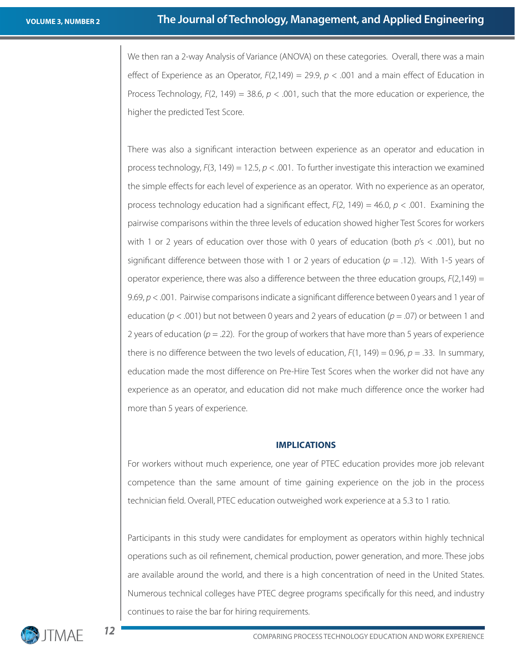We then ran a 2-way Analysis of Variance (ANOVA) on these categories. Overall, there was a main effect of Experience as an Operator, *F*(2,149) = 29.9, *p* < .001 and a main effect of Education in Process Technology, *F*(2, 149) = 38.6, *p* < .001, such that the more education or experience, the higher the predicted Test Score.

There was also a significant interaction between experience as an operator and education in process technology, *F*(3, 149) = 12.5, *p* < .001. To further investigate this interaction we examined the simple effects for each level of experience as an operator. With no experience as an operator, process technology education had a significant effect, *F*(2, 149) = 46.0, *p* < .001. Examining the pairwise comparisons within the three levels of education showed higher Test Scores for workers with 1 or 2 years of education over those with 0 years of education (both *p*'s < .001), but no significant difference between those with 1 or 2 years of education (*p* = .12). With 1-5 years of operator experience, there was also a difference between the three education groups, *F*(2,149) = 9.69,  $p < 0.001$ . Pairwise comparisons indicate a significant difference between 0 years and 1 year of education (*p* < .001) but not between 0 years and 2 years of education (*p* = .07) or between 1 and 2 years of education  $(p = .22)$ . For the group of workers that have more than 5 years of experience there is no difference between the two levels of education,  $F(1, 149) = 0.96$ ,  $p = .33$ . In summary, education made the most difference on Pre-Hire Test Scores when the worker did not have any experience as an operator, and education did not make much difference once the worker had more than 5 years of experience.

#### **IMPLICATIONS**

For workers without much experience, one year of PTEC education provides more job relevant competence than the same amount of time gaining experience on the job in the process technician field. Overall, PTEC education outweighed work experience at a 5.3 to 1 ratio.

Participants in this study were candidates for employment as operators within highly technical operations such as oil refinement, chemical production, power generation, and more. These jobs are available around the world, and there is a high concentration of need in the United States. Numerous technical colleges have PTEC degree programs specifically for this need, and industry continues to raise the bar for hiring requirements.

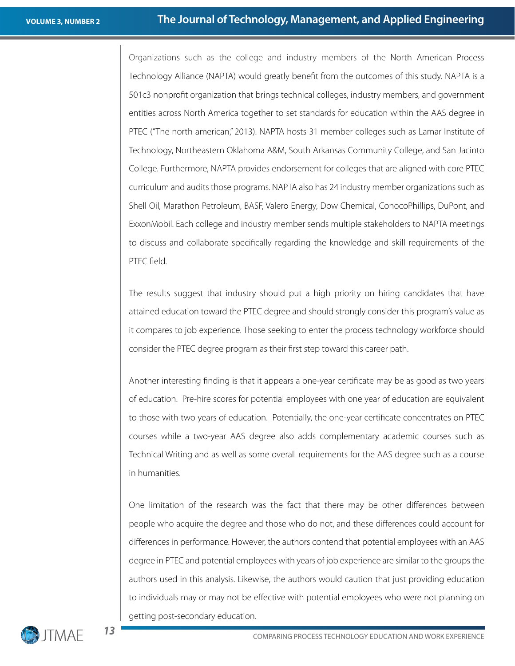Organizations such as the college and industry members of the North American Process Technology Alliance (NAPTA) would greatly benefit from the outcomes of this study. NAPTA is a 501c3 nonprofit organization that brings technical colleges, industry members, and government entities across North America together to set standards for education within the AAS degree in PTEC ("The north american," 2013). NAPTA hosts 31 member colleges such as Lamar Institute of Technology, Northeastern Oklahoma A&M, South Arkansas Community College, and San Jacinto College. Furthermore, NAPTA provides endorsement for colleges that are aligned with core PTEC curriculum and audits those programs. NAPTA also has 24 industry member organizations such as Shell Oil, Marathon Petroleum, BASF, Valero Energy, Dow Chemical, ConocoPhillips, DuPont, and ExxonMobil. Each college and industry member sends multiple stakeholders to NAPTA meetings to discuss and collaborate specifically regarding the knowledge and skill requirements of the PTEC field.

The results suggest that industry should put a high priority on hiring candidates that have attained education toward the PTEC degree and should strongly consider this program's value as it compares to job experience. Those seeking to enter the process technology workforce should consider the PTEC degree program as their first step toward this career path.

Another interesting finding is that it appears a one-year certificate may be as good as two years of education. Pre-hire scores for potential employees with one year of education are equivalent to those with two years of education. Potentially, the one-year certificate concentrates on PTEC courses while a two-year AAS degree also adds complementary academic courses such as Technical Writing and as well as some overall requirements for the AAS degree such as a course in humanities.

One limitation of the research was the fact that there may be other differences between people who acquire the degree and those who do not, and these differences could account for differences in performance. However, the authors contend that potential employees with an AAS degree in PTEC and potential employees with years of job experience are similar to the groups the authors used in this analysis. Likewise, the authors would caution that just providing education to individuals may or may not be effective with potential employees who were not planning on getting post-secondary education.

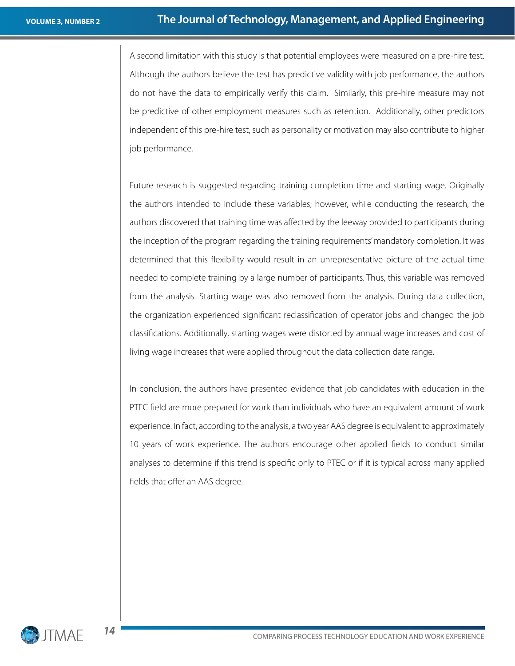A second limitation with this study is that potential employees were measured on a pre-hire test. Although the authors believe the test has predictive validity with job performance, the authors do not have the data to empirically verify this claim. Similarly, this pre-hire measure may not be predictive of other employment measures such as retention. Additionally, other predictors independent of this pre-hire test, such as personality or motivation may also contribute to higher job performance.

Future research is suggested regarding training completion time and starting wage. Originally the authors intended to include these variables; however, while conducting the research, the authors discovered that training time was affected by the leeway provided to participants during the inception of the program regarding the training requirements' mandatory completion. It was determined that this flexibility would result in an unrepresentative picture of the actual time needed to complete training by a large number of participants. Thus, this variable was removed from the analysis. Starting wage was also removed from the analysis. During data collection, the organization experienced significant reclassification of operator jobs and changed the job classifications. Additionally, starting wages were distorted by annual wage increases and cost of living wage increases that were applied throughout the data collection date range.

In conclusion, the authors have presented evidence that job candidates with education in the PTEC field are more prepared for work than individuals who have an equivalent amount of work experience. In fact, according to the analysis, a two year AAS degree is equivalent to approximately 10 years of work experience. The authors encourage other applied fields to conduct similar analyses to determine if this trend is specific only to PTEC or if it is typical across many applied fields that offer an AAS degree.